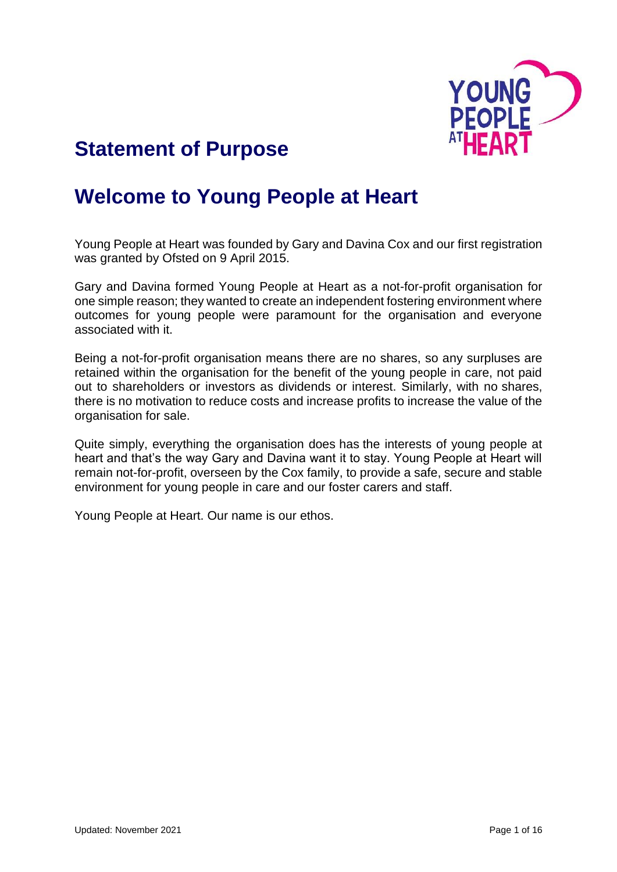

# **Statement of Purpose**

# **Welcome to Young People at Heart**

Young People at Heart was founded by Gary and Davina Cox and our first registration was granted by Ofsted on 9 April 2015.

Gary and Davina formed Young People at Heart as a not-for-profit organisation for one simple reason; they wanted to create an independent fostering environment where outcomes for young people were paramount for the organisation and everyone associated with it.

Being a not-for-profit organisation means there are no shares, so any surpluses are retained within the organisation for the benefit of the young people in care, not paid out to shareholders or investors as dividends or interest. Similarly, with no shares, there is no motivation to reduce costs and increase profits to increase the value of the organisation for sale.

Quite simply, everything the organisation does has the interests of young people at heart and that's the way Gary and Davina want it to stay. Young People at Heart will remain not-for-profit, overseen by the Cox family, to provide a safe, secure and stable environment for young people in care and our foster carers and staff.

Young People at Heart. Our name is our ethos.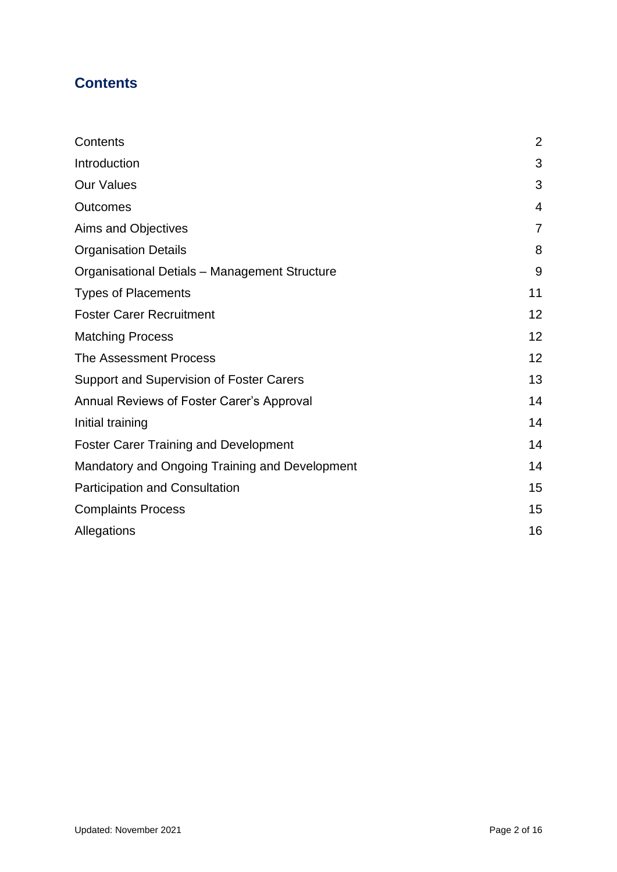# <span id="page-1-0"></span>**Contents**

| Contents                                        | $\overline{2}$ |
|-------------------------------------------------|----------------|
| Introduction                                    | 3              |
| <b>Our Values</b>                               | 3              |
| <b>Outcomes</b>                                 | $\overline{4}$ |
| Aims and Objectives                             | $\overline{7}$ |
| <b>Organisation Details</b>                     | 8              |
| Organisational Detials - Management Structure   | 9              |
| <b>Types of Placements</b>                      | 11             |
| <b>Foster Carer Recruitment</b>                 | 12             |
| <b>Matching Process</b>                         | 12             |
| The Assessment Process                          | 12             |
| <b>Support and Supervision of Foster Carers</b> | 13             |
| Annual Reviews of Foster Carer's Approval       | 14             |
| Initial training                                | 14             |
| <b>Foster Carer Training and Development</b>    | 14             |
| Mandatory and Ongoing Training and Development  | 14             |
| <b>Participation and Consultation</b>           | 15             |
| <b>Complaints Process</b>                       | 15             |
| Allegations                                     | 16             |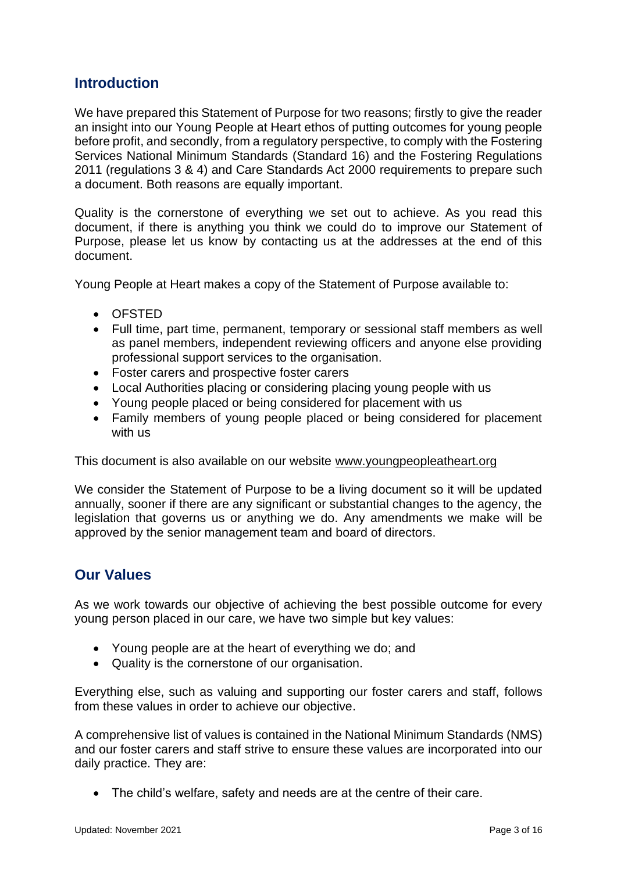# <span id="page-2-0"></span>**Introduction**

We have prepared this Statement of Purpose for two reasons; firstly to give the reader an insight into our Young People at Heart ethos of putting outcomes for young people before profit, and secondly, from a regulatory perspective, to comply with the Fostering Services National Minimum Standards (Standard 16) and the Fostering Regulations 2011 (regulations 3 & 4) and Care Standards Act 2000 requirements to prepare such a document. Both reasons are equally important.

Quality is the cornerstone of everything we set out to achieve. As you read this document, if there is anything you think we could do to improve our Statement of Purpose, please let us know by contacting us at the addresses at the end of this document.

Young People at Heart makes a copy of the Statement of Purpose available to:

- OFSTED
- Full time, part time, permanent, temporary or sessional staff members as well as panel members, independent reviewing officers and anyone else providing professional support services to the organisation.
- Foster carers and prospective foster carers
- Local Authorities placing or considering placing young people with us
- Young people placed or being considered for placement with us
- Family members of young people placed or being considered for placement with us

This document is also available on our website www.youngpeopleatheart.org

We consider the Statement of Purpose to be a living document so it will be updated annually, sooner if there are any significant or substantial changes to the agency, the legislation that governs us or anything we do. Any amendments we make will be approved by the senior management team and board of directors.

# <span id="page-2-1"></span>**Our Values**

As we work towards our objective of achieving the best possible outcome for every young person placed in our care, we have two simple but key values:

- Young people are at the heart of everything we do; and
- Quality is the cornerstone of our organisation.

Everything else, such as valuing and supporting our foster carers and staff, follows from these values in order to achieve our objective.

A comprehensive list of values is contained in the National Minimum Standards (NMS) and our foster carers and staff strive to ensure these values are incorporated into our daily practice. They are:

• The child's welfare, safety and needs are at the centre of their care.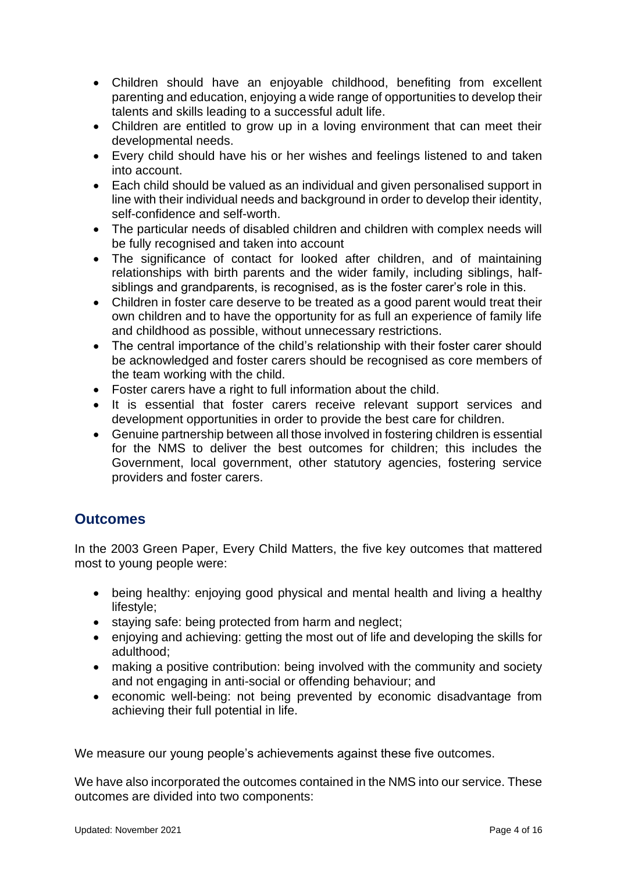- Children should have an enjoyable childhood, benefiting from excellent parenting and education, enjoying a wide range of opportunities to develop their talents and skills leading to a successful adult life.
- Children are entitled to grow up in a loving environment that can meet their developmental needs.
- Every child should have his or her wishes and feelings listened to and taken into account.
- Each child should be valued as an individual and given personalised support in line with their individual needs and background in order to develop their identity, self-confidence and self-worth.
- The particular needs of disabled children and children with complex needs will be fully recognised and taken into account
- The significance of contact for looked after children, and of maintaining relationships with birth parents and the wider family, including siblings, halfsiblings and grandparents, is recognised, as is the foster carer's role in this.
- Children in foster care deserve to be treated as a good parent would treat their own children and to have the opportunity for as full an experience of family life and childhood as possible, without unnecessary restrictions.
- The central importance of the child's relationship with their foster carer should be acknowledged and foster carers should be recognised as core members of the team working with the child.
- Foster carers have a right to full information about the child.
- It is essential that foster carers receive relevant support services and development opportunities in order to provide the best care for children.
- Genuine partnership between all those involved in fostering children is essential for the NMS to deliver the best outcomes for children; this includes the Government, local government, other statutory agencies, fostering service providers and foster carers.

# <span id="page-3-0"></span>**Outcomes**

In the 2003 Green Paper, Every Child Matters, the five key outcomes that mattered most to young people were:

- being healthy: enjoying good physical and mental health and living a healthy lifestyle;
- staying safe: being protected from harm and neglect;
- enjoying and achieving: getting the most out of life and developing the skills for adulthood;
- making a positive contribution: being involved with the community and society and not engaging in anti-social or offending behaviour; and
- economic well-being: not being prevented by economic disadvantage from achieving their full potential in life.

We measure our young people's achievements against these five outcomes.

We have also incorporated the outcomes contained in the NMS into our service. These outcomes are divided into two components: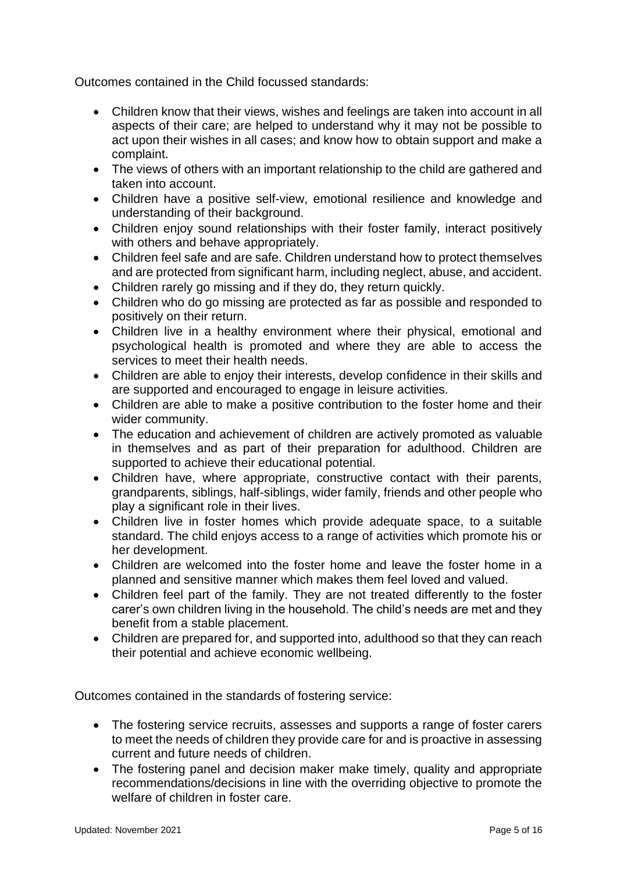Outcomes contained in the Child focussed standards:

- Children know that their views, wishes and feelings are taken into account in all aspects of their care; are helped to understand why it may not be possible to act upon their wishes in all cases; and know how to obtain support and make a complaint.
- The views of others with an important relationship to the child are gathered and taken into account.
- Children have a positive self-view, emotional resilience and knowledge and understanding of their background.
- Children enjoy sound relationships with their foster family, interact positively with others and behave appropriately.
- Children feel safe and are safe. Children understand how to protect themselves and are protected from significant harm, including neglect, abuse, and accident.
- Children rarely go missing and if they do, they return quickly.
- Children who do go missing are protected as far as possible and responded to positively on their return.
- Children live in a healthy environment where their physical, emotional and psychological health is promoted and where they are able to access the services to meet their health needs.
- Children are able to enjoy their interests, develop confidence in their skills and are supported and encouraged to engage in leisure activities.
- Children are able to make a positive contribution to the foster home and their wider community.
- The education and achievement of children are actively promoted as valuable in themselves and as part of their preparation for adulthood. Children are supported to achieve their educational potential.
- Children have, where appropriate, constructive contact with their parents, grandparents, siblings, half-siblings, wider family, friends and other people who play a significant role in their lives.
- Children live in foster homes which provide adequate space, to a suitable standard. The child enjoys access to a range of activities which promote his or her development.
- Children are welcomed into the foster home and leave the foster home in a planned and sensitive manner which makes them feel loved and valued.
- Children feel part of the family. They are not treated differently to the foster carer's own children living in the household. The child's needs are met and they benefit from a stable placement.
- Children are prepared for, and supported into, adulthood so that they can reach their potential and achieve economic wellbeing.

Outcomes contained in the standards of fostering service:

- The fostering service recruits, assesses and supports a range of foster carers to meet the needs of children they provide care for and is proactive in assessing current and future needs of children.
- The fostering panel and decision maker make timely, quality and appropriate recommendations/decisions in line with the overriding objective to promote the welfare of children in foster care.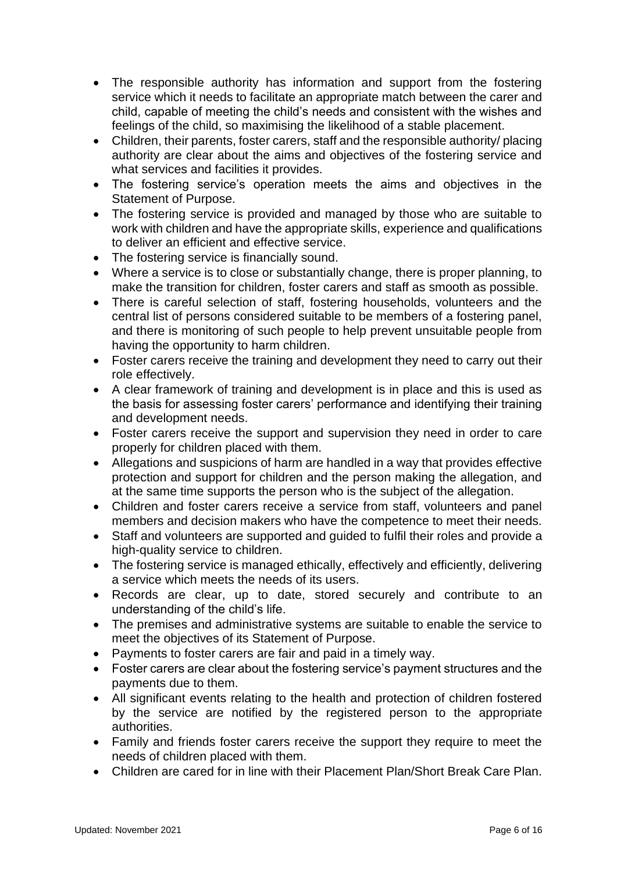- The responsible authority has information and support from the fostering service which it needs to facilitate an appropriate match between the carer and child, capable of meeting the child's needs and consistent with the wishes and feelings of the child, so maximising the likelihood of a stable placement.
- Children, their parents, foster carers, staff and the responsible authority/ placing authority are clear about the aims and objectives of the fostering service and what services and facilities it provides.
- The fostering service's operation meets the aims and objectives in the Statement of Purpose.
- The fostering service is provided and managed by those who are suitable to work with children and have the appropriate skills, experience and qualifications to deliver an efficient and effective service.
- The fostering service is financially sound.
- Where a service is to close or substantially change, there is proper planning, to make the transition for children, foster carers and staff as smooth as possible.
- There is careful selection of staff, fostering households, volunteers and the central list of persons considered suitable to be members of a fostering panel, and there is monitoring of such people to help prevent unsuitable people from having the opportunity to harm children.
- Foster carers receive the training and development they need to carry out their role effectively.
- A clear framework of training and development is in place and this is used as the basis for assessing foster carers' performance and identifying their training and development needs.
- Foster carers receive the support and supervision they need in order to care properly for children placed with them.
- Allegations and suspicions of harm are handled in a way that provides effective protection and support for children and the person making the allegation, and at the same time supports the person who is the subject of the allegation.
- Children and foster carers receive a service from staff, volunteers and panel members and decision makers who have the competence to meet their needs.
- Staff and volunteers are supported and guided to fulfil their roles and provide a high-quality service to children.
- The fostering service is managed ethically, effectively and efficiently, delivering a service which meets the needs of its users.
- Records are clear, up to date, stored securely and contribute to an understanding of the child's life.
- The premises and administrative systems are suitable to enable the service to meet the objectives of its Statement of Purpose.
- Payments to foster carers are fair and paid in a timely way.
- Foster carers are clear about the fostering service's payment structures and the payments due to them.
- All significant events relating to the health and protection of children fostered by the service are notified by the registered person to the appropriate authorities.
- Family and friends foster carers receive the support they require to meet the needs of children placed with them.
- Children are cared for in line with their Placement Plan/Short Break Care Plan.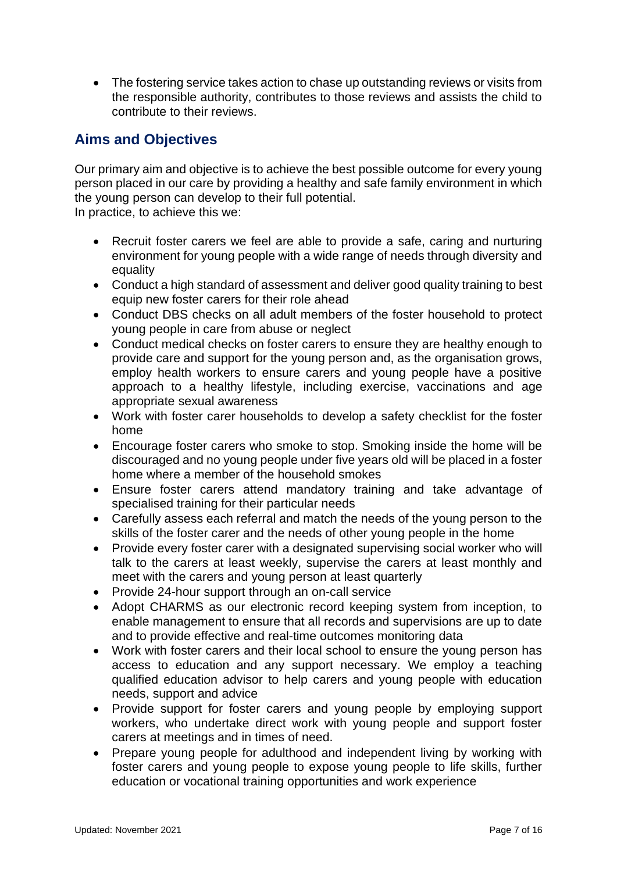• The fostering service takes action to chase up outstanding reviews or visits from the responsible authority, contributes to those reviews and assists the child to contribute to their reviews.

# <span id="page-6-0"></span>**Aims and Objectives**

Our primary aim and objective is to achieve the best possible outcome for every young person placed in our care by providing a healthy and safe family environment in which the young person can develop to their full potential.

In practice, to achieve this we:

- Recruit foster carers we feel are able to provide a safe, caring and nurturing environment for young people with a wide range of needs through diversity and equality
- Conduct a high standard of assessment and deliver good quality training to best equip new foster carers for their role ahead
- Conduct DBS checks on all adult members of the foster household to protect young people in care from abuse or neglect
- Conduct medical checks on foster carers to ensure they are healthy enough to provide care and support for the young person and, as the organisation grows, employ health workers to ensure carers and young people have a positive approach to a healthy lifestyle, including exercise, vaccinations and age appropriate sexual awareness
- Work with foster carer households to develop a safety checklist for the foster home
- Encourage foster carers who smoke to stop. Smoking inside the home will be discouraged and no young people under five years old will be placed in a foster home where a member of the household smokes
- Ensure foster carers attend mandatory training and take advantage of specialised training for their particular needs
- Carefully assess each referral and match the needs of the young person to the skills of the foster carer and the needs of other young people in the home
- Provide every foster carer with a designated supervising social worker who will talk to the carers at least weekly, supervise the carers at least monthly and meet with the carers and young person at least quarterly
- Provide 24-hour support through an on-call service
- Adopt CHARMS as our electronic record keeping system from inception, to enable management to ensure that all records and supervisions are up to date and to provide effective and real-time outcomes monitoring data
- Work with foster carers and their local school to ensure the young person has access to education and any support necessary. We employ a teaching qualified education advisor to help carers and young people with education needs, support and advice
- Provide support for foster carers and young people by employing support workers, who undertake direct work with young people and support foster carers at meetings and in times of need.
- Prepare young people for adulthood and independent living by working with foster carers and young people to expose young people to life skills, further education or vocational training opportunities and work experience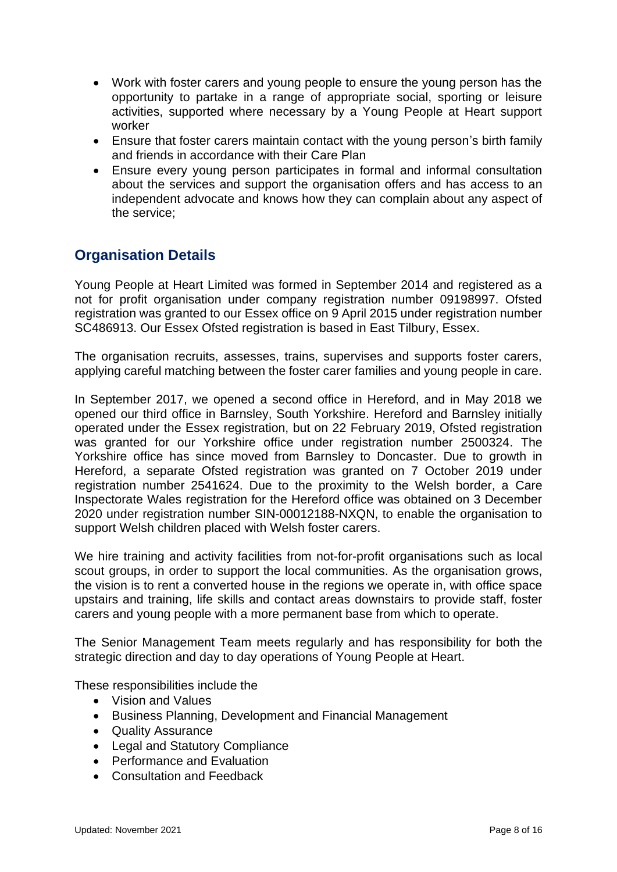- Work with foster carers and young people to ensure the young person has the opportunity to partake in a range of appropriate social, sporting or leisure activities, supported where necessary by a Young People at Heart support worker
- Ensure that foster carers maintain contact with the young person's birth family and friends in accordance with their Care Plan
- Ensure every young person participates in formal and informal consultation about the services and support the organisation offers and has access to an independent advocate and knows how they can complain about any aspect of the service;

# <span id="page-7-0"></span>**Organisation Details**

Young People at Heart Limited was formed in September 2014 and registered as a not for profit organisation under company registration number 09198997. Ofsted registration was granted to our Essex office on 9 April 2015 under registration number SC486913. Our Essex Ofsted registration is based in East Tilbury, Essex.

The organisation recruits, assesses, trains, supervises and supports foster carers, applying careful matching between the foster carer families and young people in care.

In September 2017, we opened a second office in Hereford, and in May 2018 we opened our third office in Barnsley, South Yorkshire. Hereford and Barnsley initially operated under the Essex registration, but on 22 February 2019, Ofsted registration was granted for our Yorkshire office under registration number 2500324. The Yorkshire office has since moved from Barnsley to Doncaster. Due to growth in Hereford, a separate Ofsted registration was granted on 7 October 2019 under registration number 2541624. Due to the proximity to the Welsh border, a Care Inspectorate Wales registration for the Hereford office was obtained on 3 December 2020 under registration number SIN-00012188-NXQN, to enable the organisation to support Welsh children placed with Welsh foster carers.

We hire training and activity facilities from not-for-profit organisations such as local scout groups, in order to support the local communities. As the organisation grows, the vision is to rent a converted house in the regions we operate in, with office space upstairs and training, life skills and contact areas downstairs to provide staff, foster carers and young people with a more permanent base from which to operate.

The Senior Management Team meets regularly and has responsibility for both the strategic direction and day to day operations of Young People at Heart.

These responsibilities include the

- Vision and Values
- Business Planning, Development and Financial Management
- Quality Assurance
- Legal and Statutory Compliance
- Performance and Evaluation
- Consultation and Feedback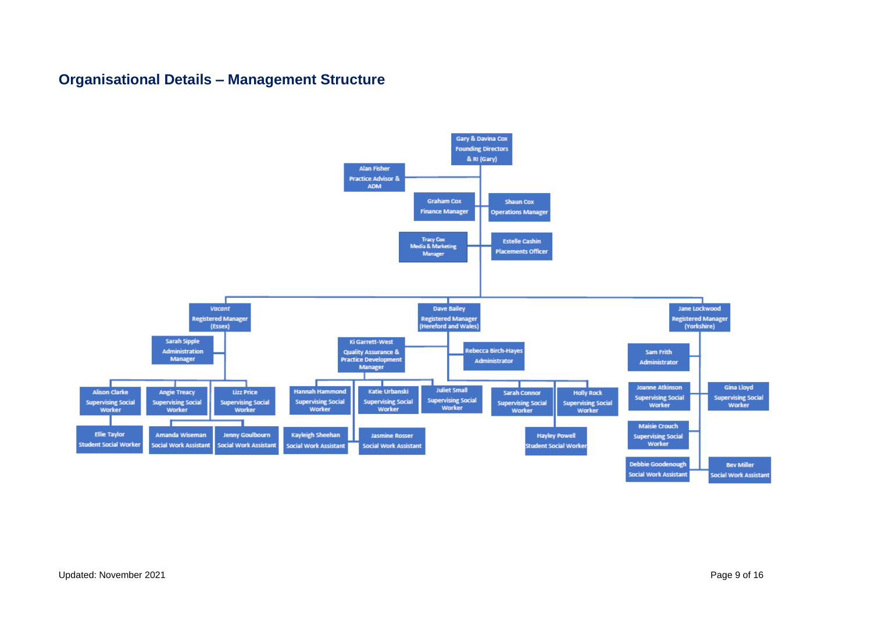# **Organisational Details – Management Structure**

<span id="page-8-0"></span>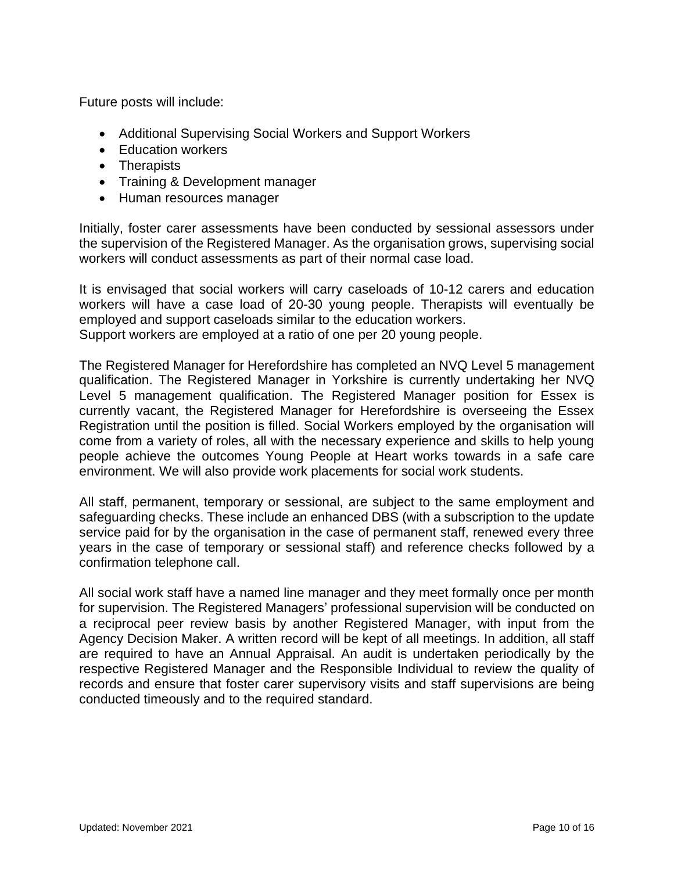Future posts will include:

- Additional Supervising Social Workers and Support Workers
- Education workers
- Therapists
- Training & Development manager
- Human resources manager

Initially, foster carer assessments have been conducted by sessional assessors under the supervision of the Registered Manager. As the organisation grows, supervising social workers will conduct assessments as part of their normal case load.

It is envisaged that social workers will carry caseloads of 10-12 carers and education workers will have a case load of 20-30 young people. Therapists will eventually be employed and support caseloads similar to the education workers. Support workers are employed at a ratio of one per 20 young people.

The Registered Manager for Herefordshire has completed an NVQ Level 5 management qualification. The Registered Manager in Yorkshire is currently undertaking her NVQ Level 5 management qualification. The Registered Manager position for Essex is currently vacant, the Registered Manager for Herefordshire is overseeing the Essex Registration until the position is filled. Social Workers employed by the organisation will come from a variety of roles, all with the necessary experience and skills to help young people achieve the outcomes Young People at Heart works towards in a safe care environment. We will also provide work placements for social work students.

All staff, permanent, temporary or sessional, are subject to the same employment and safeguarding checks. These include an enhanced DBS (with a subscription to the update service paid for by the organisation in the case of permanent staff, renewed every three years in the case of temporary or sessional staff) and reference checks followed by a confirmation telephone call.

All social work staff have a named line manager and they meet formally once per month for supervision. The Registered Managers' professional supervision will be conducted on a reciprocal peer review basis by another Registered Manager, with input from the Agency Decision Maker. A written record will be kept of all meetings. In addition, all staff are required to have an Annual Appraisal. An audit is undertaken periodically by the respective Registered Manager and the Responsible Individual to review the quality of records and ensure that foster carer supervisory visits and staff supervisions are being conducted timeously and to the required standard.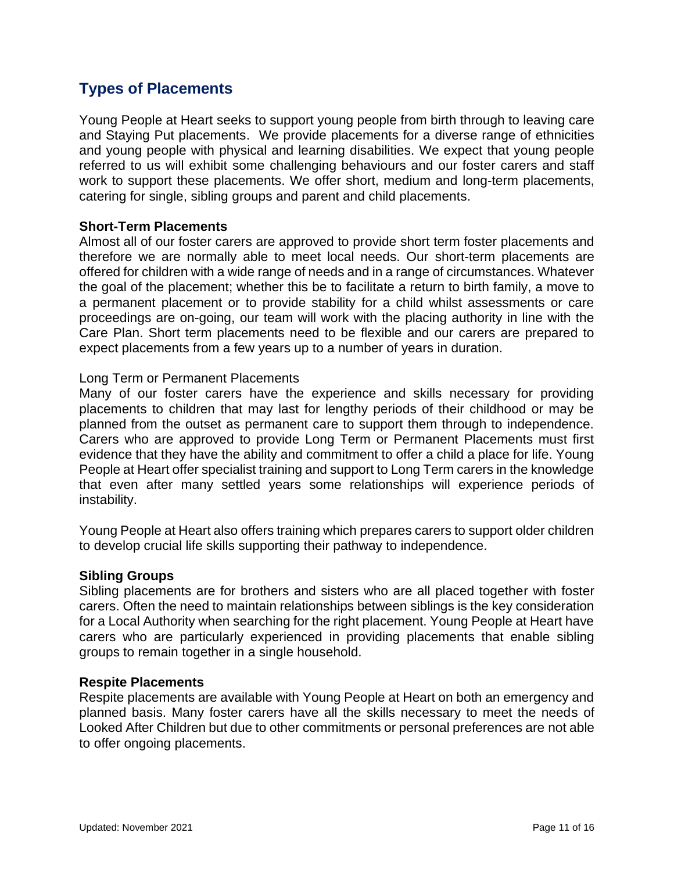# **Types of Placements**

<span id="page-10-0"></span>Young People at Heart seeks to support young people from birth through to leaving care and Staying Put placements. We provide placements for a diverse range of ethnicities and young people with physical and learning disabilities. We expect that young people referred to us will exhibit some challenging behaviours and our foster carers and staff work to support these placements. We offer short, medium and long-term placements, catering for single, sibling groups and parent and child placements.

#### **Short-Term Placements**

Almost all of our foster carers are approved to provide short term foster placements and therefore we are normally able to meet local needs. Our short-term placements are offered for children with a wide range of needs and in a range of circumstances. Whatever the goal of the placement; whether this be to facilitate a return to birth family, a move to a permanent placement or to provide stability for a child whilst assessments or care proceedings are on-going, our team will work with the placing authority in line with the Care Plan. Short term placements need to be flexible and our carers are prepared to expect placements from a few years up to a number of years in duration.

#### Long Term or Permanent Placements

Many of our foster carers have the experience and skills necessary for providing placements to children that may last for lengthy periods of their childhood or may be planned from the outset as permanent care to support them through to independence. Carers who are approved to provide Long Term or Permanent Placements must first evidence that they have the ability and commitment to offer a child a place for life. Young People at Heart offer specialist training and support to Long Term carers in the knowledge that even after many settled years some relationships will experience periods of instability.

Young People at Heart also offers training which prepares carers to support older children to develop crucial life skills supporting their pathway to independence.

#### **Sibling Groups**

Sibling placements are for brothers and sisters who are all placed together with foster carers. Often the need to maintain relationships between siblings is the key consideration for a Local Authority when searching for the right placement. Young People at Heart have carers who are particularly experienced in providing placements that enable sibling groups to remain together in a single household.

#### **Respite Placements**

Respite placements are available with Young People at Heart on both an emergency and planned basis. Many foster carers have all the skills necessary to meet the needs of Looked After Children but due to other commitments or personal preferences are not able to offer ongoing placements.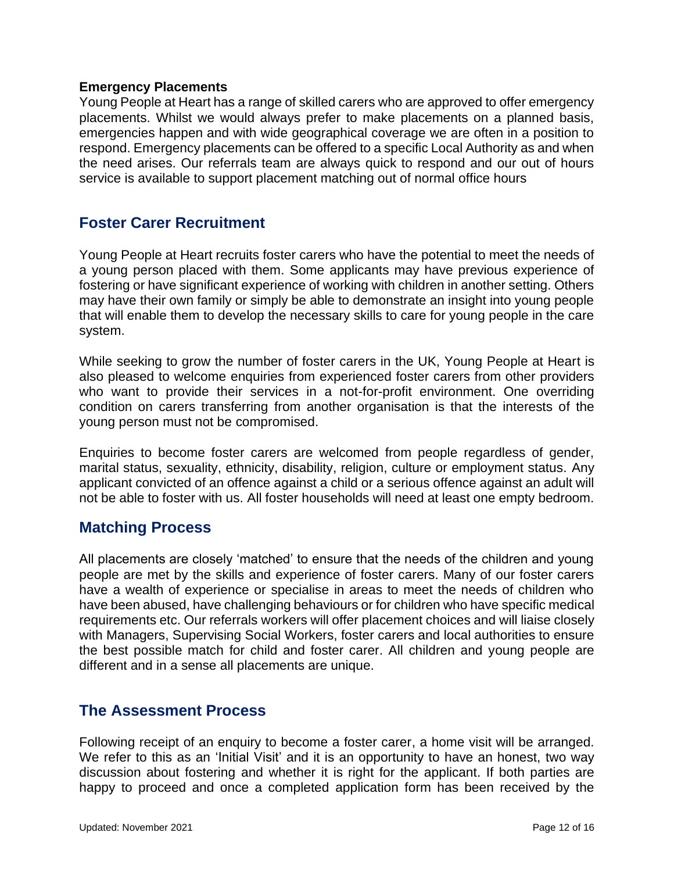#### **Emergency Placements**

Young People at Heart has a range of skilled carers who are approved to offer emergency placements. Whilst we would always prefer to make placements on a planned basis, emergencies happen and with wide geographical coverage we are often in a position to respond. Emergency placements can be offered to a specific Local Authority as and when the need arises. Our referrals team are always quick to respond and our out of hours service is available to support placement matching out of normal office hours

### **Foster Carer Recruitment**

<span id="page-11-0"></span>Young People at Heart recruits foster carers who have the potential to meet the needs of a young person placed with them. Some applicants may have previous experience of fostering or have significant experience of working with children in another setting. Others may have their own family or simply be able to demonstrate an insight into young people that will enable them to develop the necessary skills to care for young people in the care system.

While seeking to grow the number of foster carers in the UK, Young People at Heart is also pleased to welcome enquiries from experienced foster carers from other providers who want to provide their services in a not-for-profit environment. One overriding condition on carers transferring from another organisation is that the interests of the young person must not be compromised.

Enquiries to become foster carers are welcomed from people regardless of gender, marital status, sexuality, ethnicity, disability, religion, culture or employment status. Any applicant convicted of an offence against a child or a serious offence against an adult will not be able to foster with us. All foster households will need at least one empty bedroom.

#### **Matching Process**

<span id="page-11-1"></span>All placements are closely 'matched' to ensure that the needs of the children and young people are met by the skills and experience of foster carers. Many of our foster carers have a wealth of experience or specialise in areas to meet the needs of children who have been abused, have challenging behaviours or for children who have specific medical requirements etc. Our referrals workers will offer placement choices and will liaise closely with Managers, Supervising Social Workers, foster carers and local authorities to ensure the best possible match for child and foster carer. All children and young people are different and in a sense all placements are unique.

### **The Assessment Process**

<span id="page-11-2"></span>Following receipt of an enquiry to become a foster carer, a home visit will be arranged. We refer to this as an 'Initial Visit' and it is an opportunity to have an honest, two way discussion about fostering and whether it is right for the applicant. If both parties are happy to proceed and once a completed application form has been received by the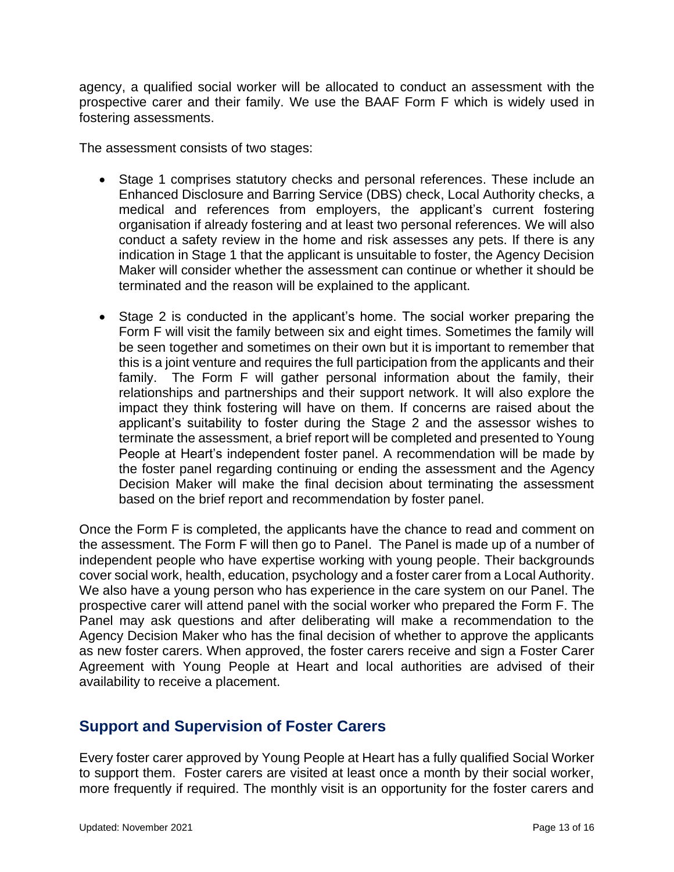agency, a qualified social worker will be allocated to conduct an assessment with the prospective carer and their family. We use the BAAF Form F which is widely used in fostering assessments.

The assessment consists of two stages:

- Stage 1 comprises statutory checks and personal references. These include an Enhanced Disclosure and Barring Service (DBS) check, Local Authority checks, a medical and references from employers, the applicant's current fostering organisation if already fostering and at least two personal references. We will also conduct a safety review in the home and risk assesses any pets. If there is any indication in Stage 1 that the applicant is unsuitable to foster, the Agency Decision Maker will consider whether the assessment can continue or whether it should be terminated and the reason will be explained to the applicant.
- Stage 2 is conducted in the applicant's home. The social worker preparing the Form F will visit the family between six and eight times. Sometimes the family will be seen together and sometimes on their own but it is important to remember that this is a joint venture and requires the full participation from the applicants and their family. The Form F will gather personal information about the family, their relationships and partnerships and their support network. It will also explore the impact they think fostering will have on them. If concerns are raised about the applicant's suitability to foster during the Stage 2 and the assessor wishes to terminate the assessment, a brief report will be completed and presented to Young People at Heart's independent foster panel. A recommendation will be made by the foster panel regarding continuing or ending the assessment and the Agency Decision Maker will make the final decision about terminating the assessment based on the brief report and recommendation by foster panel.

Once the Form F is completed, the applicants have the chance to read and comment on the assessment. The Form F will then go to Panel. The Panel is made up of a number of independent people who have expertise working with young people. Their backgrounds cover social work, health, education, psychology and a foster carer from a Local Authority. We also have a young person who has experience in the care system on our Panel. The prospective carer will attend panel with the social worker who prepared the Form F. The Panel may ask questions and after deliberating will make a recommendation to the Agency Decision Maker who has the final decision of whether to approve the applicants as new foster carers. When approved, the foster carers receive and sign a Foster Carer Agreement with Young People at Heart and local authorities are advised of their availability to receive a placement.

# **Support and Supervision of Foster Carers**

<span id="page-12-0"></span>Every foster carer approved by Young People at Heart has a fully qualified Social Worker to support them. Foster carers are visited at least once a month by their social worker, more frequently if required. The monthly visit is an opportunity for the foster carers and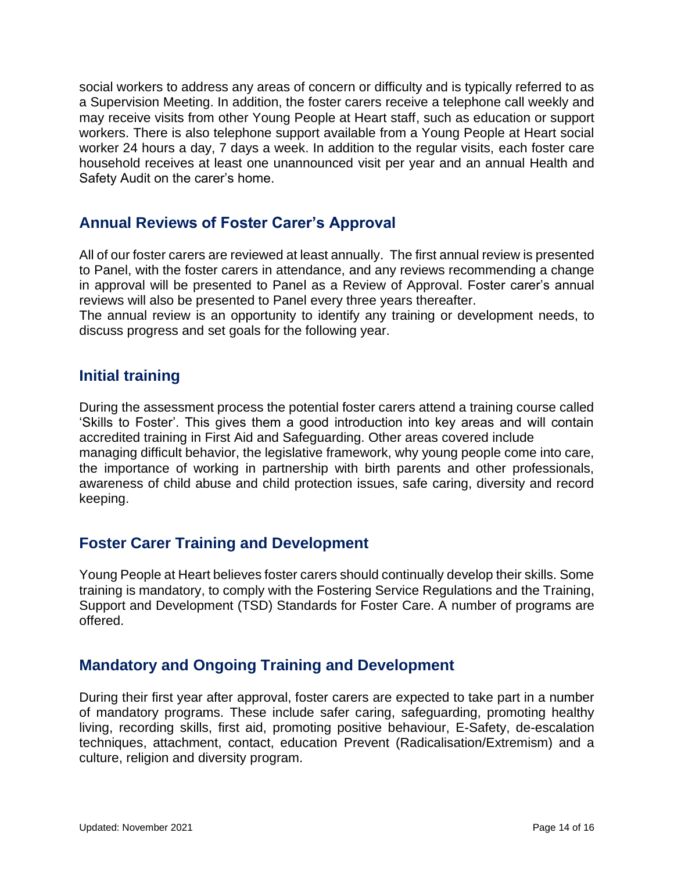social workers to address any areas of concern or difficulty and is typically referred to as a Supervision Meeting. In addition, the foster carers receive a telephone call weekly and may receive visits from other Young People at Heart staff, such as education or support workers. There is also telephone support available from a Young People at Heart social worker 24 hours a day, 7 days a week. In addition to the regular visits, each foster care household receives at least one unannounced visit per year and an annual Health and Safety Audit on the carer's home.

# **Annual Reviews of Foster Carer's Approval**

<span id="page-13-0"></span>All of our foster carers are reviewed at least annually. The first annual review is presented to Panel, with the foster carers in attendance, and any reviews recommending a change in approval will be presented to Panel as a Review of Approval. Foster carer's annual reviews will also be presented to Panel every three years thereafter.

The annual review is an opportunity to identify any training or development needs, to discuss progress and set goals for the following year.

### **Initial training**

<span id="page-13-1"></span>During the assessment process the potential foster carers attend a training course called 'Skills to Foster'. This gives them a good introduction into key areas and will contain accredited training in First Aid and Safeguarding. Other areas covered include managing difficult behavior, the legislative framework, why young people come into care, the importance of working in partnership with birth parents and other professionals, awareness of child abuse and child protection issues, safe caring, diversity and record keeping.

# **Foster Carer Training and Development**

<span id="page-13-2"></span>Young People at Heart believes foster carers should continually develop their skills. Some training is mandatory, to comply with the Fostering Service Regulations and the Training, Support and Development (TSD) Standards for Foster Care. A number of programs are offered.

# **Mandatory and Ongoing Training and Development**

<span id="page-13-3"></span>During their first year after approval, foster carers are expected to take part in a number of mandatory programs. These include safer caring, safeguarding, promoting healthy living, recording skills, first aid, promoting positive behaviour, E-Safety, de-escalation techniques, attachment, contact, education Prevent (Radicalisation/Extremism) and a culture, religion and diversity program.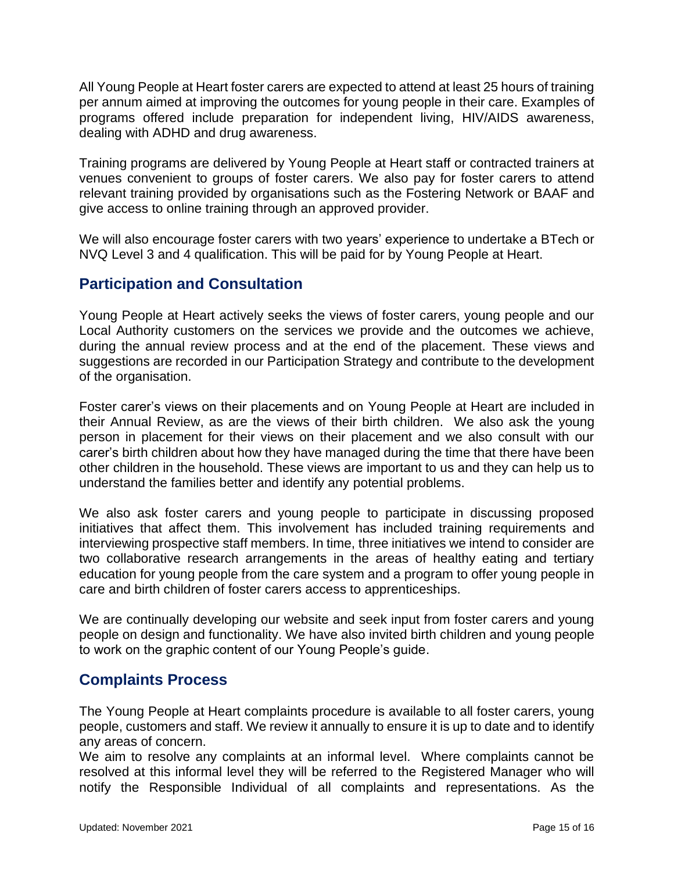All Young People at Heart foster carers are expected to attend at least 25 hours of training per annum aimed at improving the outcomes for young people in their care. Examples of programs offered include preparation for independent living, HIV/AIDS awareness, dealing with ADHD and drug awareness.

Training programs are delivered by Young People at Heart staff or contracted trainers at venues convenient to groups of foster carers. We also pay for foster carers to attend relevant training provided by organisations such as the Fostering Network or BAAF and give access to online training through an approved provider.

We will also encourage foster carers with two years' experience to undertake a BTech or NVQ Level 3 and 4 qualification. This will be paid for by Young People at Heart.

# **Participation and Consultation**

<span id="page-14-0"></span>Young People at Heart actively seeks the views of foster carers, young people and our Local Authority customers on the services we provide and the outcomes we achieve, during the annual review process and at the end of the placement. These views and suggestions are recorded in our Participation Strategy and contribute to the development of the organisation.

Foster carer's views on their placements and on Young People at Heart are included in their Annual Review, as are the views of their birth children. We also ask the young person in placement for their views on their placement and we also consult with our carer's birth children about how they have managed during the time that there have been other children in the household. These views are important to us and they can help us to understand the families better and identify any potential problems.

We also ask foster carers and young people to participate in discussing proposed initiatives that affect them. This involvement has included training requirements and interviewing prospective staff members. In time, three initiatives we intend to consider are two collaborative research arrangements in the areas of healthy eating and tertiary education for young people from the care system and a program to offer young people in care and birth children of foster carers access to apprenticeships.

We are continually developing our website and seek input from foster carers and young people on design and functionality. We have also invited birth children and young people to work on the graphic content of our Young People's guide.

### **Complaints Process**

<span id="page-14-1"></span>The Young People at Heart complaints procedure is available to all foster carers, young people, customers and staff. We review it annually to ensure it is up to date and to identify any areas of concern.

We aim to resolve any complaints at an informal level. Where complaints cannot be resolved at this informal level they will be referred to the Registered Manager who will notify the Responsible Individual of all complaints and representations. As the